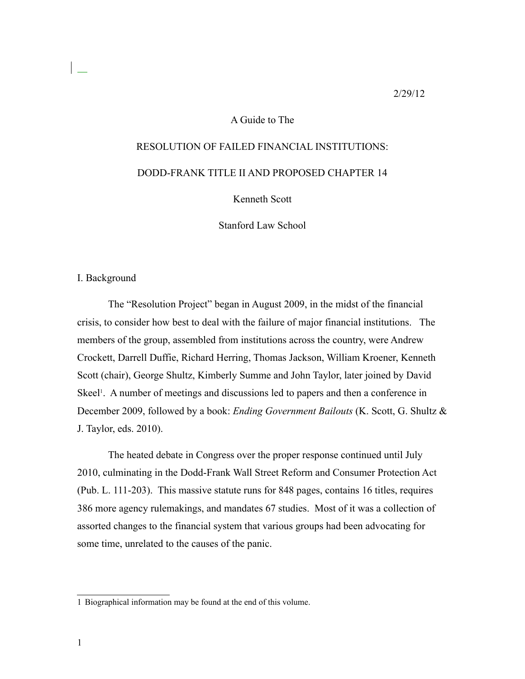#### 2/29/12

## A Guide to The

# RESOLUTION OF FAILED FINANCIAL INSTITUTIONS:

# DODD-FRANK TITLE II AND PROPOSED CHAPTER 14

# Kenneth Scott

Stanford Law School

#### I. Background

The "Resolution Project" began in August 2009, in the midst of the financial crisis, to consider how best to deal with the failure of major financial institutions. The members of the group, assembled from institutions across the country, were Andrew Crockett, Darrell Duffie, Richard Herring, Thomas Jackson, William Kroener, Kenneth Scott (chair), George Shultz, Kimberly Summe and John Taylor, later joined by David Skeel<sup>1</sup>. A number of meetings and discussions led to papers and then a conference in December 2009, followed by a book: *Ending Government Bailouts* (K. Scott, G. Shultz & J. Taylor, eds. 2010).

The heated debate in Congress over the proper response continued until July 2010, culminating in the Dodd-Frank Wall Street Reform and Consumer Protection Act (Pub. L. 111-203). This massive statute runs for 848 pages, contains 16 titles, requires 386 more agency rulemakings, and mandates 67 studies. Most of it was a collection of assorted changes to the financial system that various groups had been advocating for some time, unrelated to the causes of the panic.

<sup>1</sup> Biographical information may be found at the end of this volume.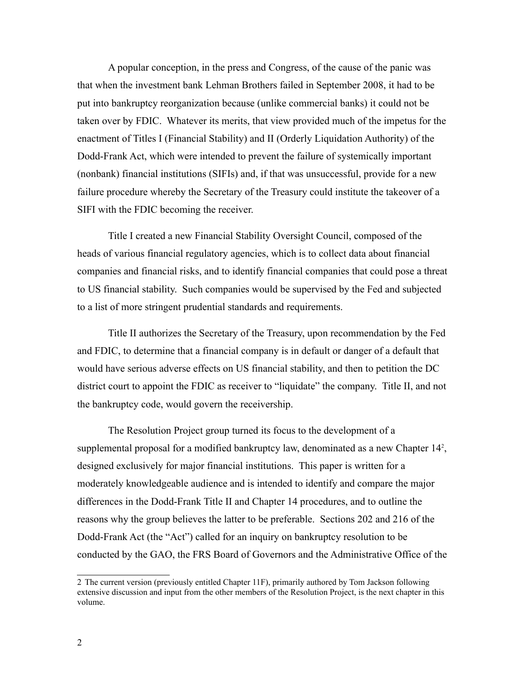A popular conception, in the press and Congress, of the cause of the panic was that when the investment bank Lehman Brothers failed in September 2008, it had to be put into bankruptcy reorganization because (unlike commercial banks) it could not be taken over by FDIC. Whatever its merits, that view provided much of the impetus for the enactment of Titles I (Financial Stability) and II (Orderly Liquidation Authority) of the Dodd-Frank Act, which were intended to prevent the failure of systemically important (nonbank) financial institutions (SIFIs) and, if that was unsuccessful, provide for a new failure procedure whereby the Secretary of the Treasury could institute the takeover of a SIFI with the FDIC becoming the receiver.

Title I created a new Financial Stability Oversight Council, composed of the heads of various financial regulatory agencies, which is to collect data about financial companies and financial risks, and to identify financial companies that could pose a threat to US financial stability. Such companies would be supervised by the Fed and subjected to a list of more stringent prudential standards and requirements.

Title II authorizes the Secretary of the Treasury, upon recommendation by the Fed and FDIC, to determine that a financial company is in default or danger of a default that would have serious adverse effects on US financial stability, and then to petition the DC district court to appoint the FDIC as receiver to "liquidate" the company. Title II, and not the bankruptcy code, would govern the receivership.

The Resolution Project group turned its focus to the development of a supplemental proposal for a modified bankruptcy law, denominated as a new Chapter 14<sup>2</sup>, designed exclusively for major financial institutions. This paper is written for a moderately knowledgeable audience and is intended to identify and compare the major differences in the Dodd-Frank Title II and Chapter 14 procedures, and to outline the reasons why the group believes the latter to be preferable. Sections 202 and 216 of the Dodd-Frank Act (the "Act") called for an inquiry on bankruptcy resolution to be conducted by the GAO, the FRS Board of Governors and the Administrative Office of the

<sup>2</sup> The current version (previously entitled Chapter 11F), primarily authored by Tom Jackson following extensive discussion and input from the other members of the Resolution Project, is the next chapter in this volume.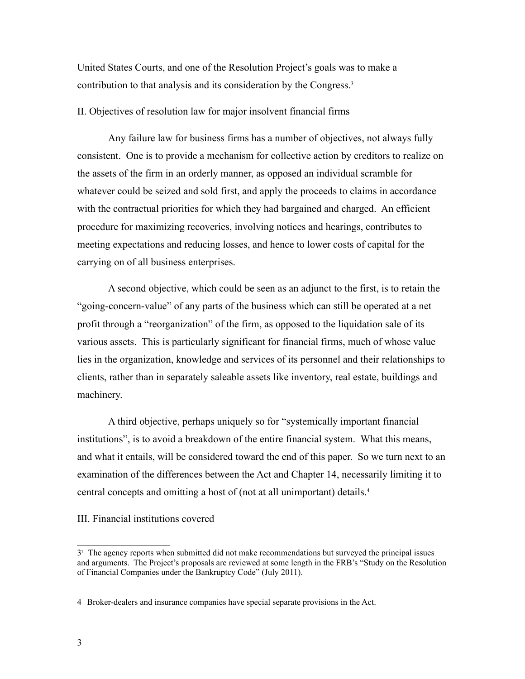United States Courts, and one of the Resolution Project's goals was to make a contribution to that analysis and its consideration by the Congress.3

II. Objectives of resolution law for major insolvent financial firms

Any failure law for business firms has a number of objectives, not always fully consistent. One is to provide a mechanism for collective action by creditors to realize on the assets of the firm in an orderly manner, as opposed an individual scramble for whatever could be seized and sold first, and apply the proceeds to claims in accordance with the contractual priorities for which they had bargained and charged. An efficient procedure for maximizing recoveries, involving notices and hearings, contributes to meeting expectations and reducing losses, and hence to lower costs of capital for the carrying on of all business enterprises.

A second objective, which could be seen as an adjunct to the first, is to retain the "going-concern-value" of any parts of the business which can still be operated at a net profit through a "reorganization" of the firm, as opposed to the liquidation sale of its various assets. This is particularly significant for financial firms, much of whose value lies in the organization, knowledge and services of its personnel and their relationships to clients, rather than in separately saleable assets like inventory, real estate, buildings and machinery.

A third objective, perhaps uniquely so for "systemically important financial institutions", is to avoid a breakdown of the entire financial system. What this means, and what it entails, will be considered toward the end of this paper. So we turn next to an examination of the differences between the Act and Chapter 14, necessarily limiting it to central concepts and omitting a host of (not at all unimportant) details.4

III. Financial institutions covered

<sup>3&</sup>lt;sup>1</sup> The agency reports when submitted did not make recommendations but surveyed the principal issues and arguments. The Project's proposals are reviewed at some length in the FRB's "Study on the Resolution of Financial Companies under the Bankruptcy Code" (July 2011).

<sup>4</sup> Broker-dealers and insurance companies have special separate provisions in the Act.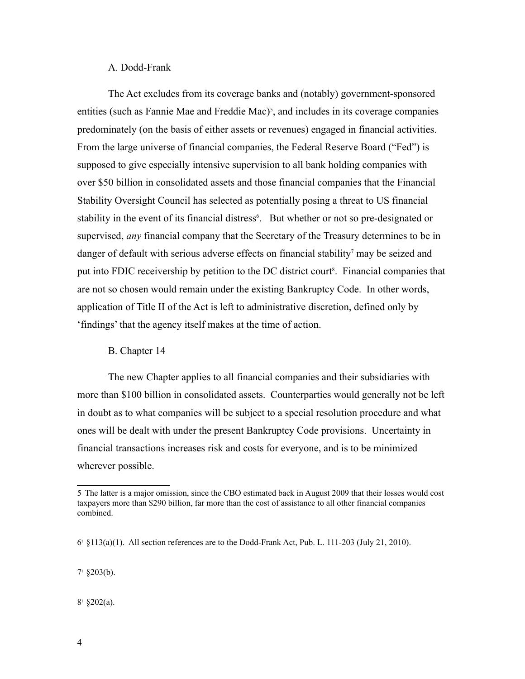#### A. Dodd-Frank

The Act excludes from its coverage banks and (notably) government-sponsored entities (such as Fannie Mae and Freddie Mac)<sup>5</sup>, and includes in its coverage companies predominately (on the basis of either assets or revenues) engaged in financial activities. From the large universe of financial companies, the Federal Reserve Board ("Fed") is supposed to give especially intensive supervision to all bank holding companies with over \$50 billion in consolidated assets and those financial companies that the Financial Stability Oversight Council has selected as potentially posing a threat to US financial stability in the event of its financial distress<sup>6</sup>. But whether or not so pre-designated or supervised, *any* financial company that the Secretary of the Treasury determines to be in danger of default with serious adverse effects on financial stability<sup>7</sup> may be seized and put into FDIC receivership by petition to the DC district court<sup>8</sup>. Financial companies that are not so chosen would remain under the existing Bankruptcy Code. In other words, application of Title II of the Act is left to administrative discretion, defined only by 'findings' that the agency itself makes at the time of action.

#### B. Chapter 14

The new Chapter applies to all financial companies and their subsidiaries with more than \$100 billion in consolidated assets. Counterparties would generally not be left in doubt as to what companies will be subject to a special resolution procedure and what ones will be dealt with under the present Bankruptcy Code provisions. Uncertainty in financial transactions increases risk and costs for everyone, and is to be minimized wherever possible.

 $7^{\circ}$  §203(b).

 $8^{\circ}$  §202(a).

<sup>5</sup> The latter is a major omission, since the CBO estimated back in August 2009 that their losses would cost taxpayers more than \$290 billion, far more than the cost of assistance to all other financial companies combined.

 $6^{\degree}$  §113(a)(1). All section references are to the Dodd-Frank Act, Pub. L. 111-203 (July 21, 2010).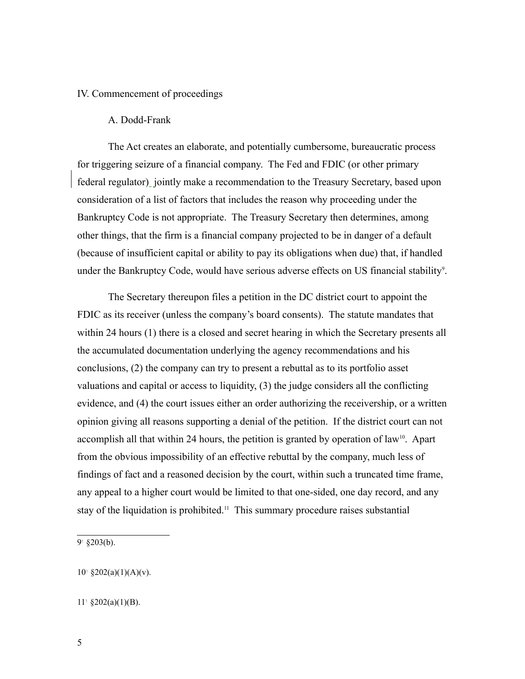#### IV. Commencement of proceedings

#### A. Dodd-Frank

The Act creates an elaborate, and potentially cumbersome, bureaucratic process for triggering seizure of a financial company. The Fed and FDIC (or other primary federal regulator) jointly make a recommendation to the Treasury Secretary, based upon consideration of a list of factors that includes the reason why proceeding under the Bankruptcy Code is not appropriate. The Treasury Secretary then determines, among other things, that the firm is a financial company projected to be in danger of a default (because of insufficient capital or ability to pay its obligations when due) that, if handled under the Bankruptcy Code, would have serious adverse effects on US financial stability<sup>9</sup>.

The Secretary thereupon files a petition in the DC district court to appoint the FDIC as its receiver (unless the company's board consents). The statute mandates that within 24 hours (1) there is a closed and secret hearing in which the Secretary presents all the accumulated documentation underlying the agency recommendations and his conclusions, (2) the company can try to present a rebuttal as to its portfolio asset valuations and capital or access to liquidity, (3) the judge considers all the conflicting evidence, and (4) the court issues either an order authorizing the receivership, or a written opinion giving all reasons supporting a denial of the petition. If the district court can not accomplish all that within 24 hours, the petition is granted by operation of law<sup>10</sup>. Apart from the obvious impossibility of an effective rebuttal by the company, much less of findings of fact and a reasoned decision by the court, within such a truncated time frame, any appeal to a higher court would be limited to that one-sided, one day record, and any stay of the liquidation is prohibited.<sup>11</sup> This summary procedure raises substantial

 $9^{\circ}$  §203(b).

 $10^{\circ}$  §202(a)(1)(A)(v).

 $11^{\circ}$  §202(a)(1)(B).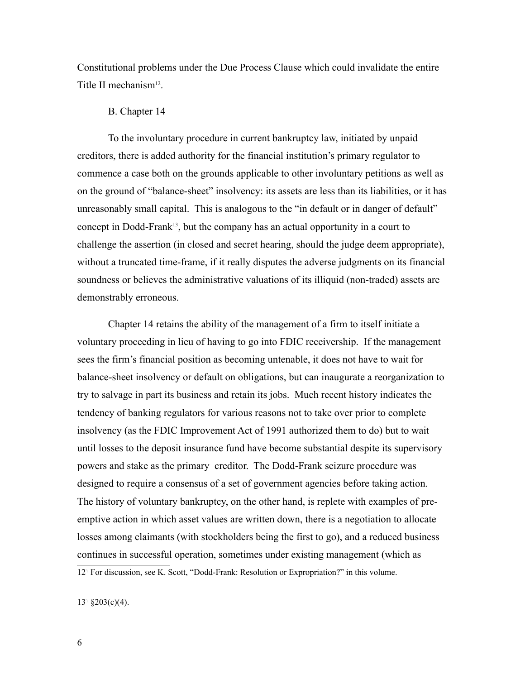Constitutional problems under the Due Process Clause which could invalidate the entire Title II mechanism<sup>12</sup>.

#### B. Chapter 14

To the involuntary procedure in current bankruptcy law, initiated by unpaid creditors, there is added authority for the financial institution's primary regulator to commence a case both on the grounds applicable to other involuntary petitions as well as on the ground of "balance-sheet" insolvency: its assets are less than its liabilities, or it has unreasonably small capital. This is analogous to the "in default or in danger of default" concept in Dodd-Frank<sup>13</sup>, but the company has an actual opportunity in a court to challenge the assertion (in closed and secret hearing, should the judge deem appropriate), without a truncated time-frame, if it really disputes the adverse judgments on its financial soundness or believes the administrative valuations of its illiquid (non-traded) assets are demonstrably erroneous.

Chapter 14 retains the ability of the management of a firm to itself initiate a voluntary proceeding in lieu of having to go into FDIC receivership. If the management sees the firm's financial position as becoming untenable, it does not have to wait for balance-sheet insolvency or default on obligations, but can inaugurate a reorganization to try to salvage in part its business and retain its jobs. Much recent history indicates the tendency of banking regulators for various reasons not to take over prior to complete insolvency (as the FDIC Improvement Act of 1991 authorized them to do) but to wait until losses to the deposit insurance fund have become substantial despite its supervisory powers and stake as the primary creditor. The Dodd-Frank seizure procedure was designed to require a consensus of a set of government agencies before taking action. The history of voluntary bankruptcy, on the other hand, is replete with examples of preemptive action in which asset values are written down, there is a negotiation to allocate losses among claimants (with stockholders being the first to go), and a reduced business continues in successful operation, sometimes under existing management (which as

12<sup>T</sup> For discussion, see K. Scott, "Dodd-Frank: Resolution or Expropriation?" in this volume.

13<sup>t</sup> §203(c)(4).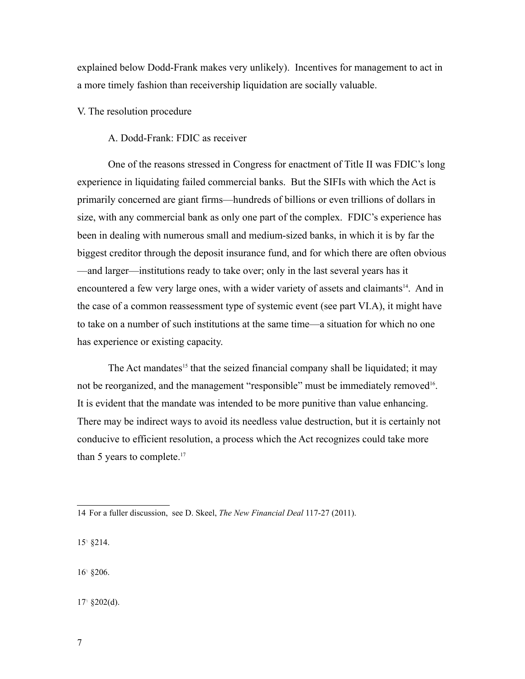explained below Dodd-Frank makes very unlikely). Incentives for management to act in a more timely fashion than receivership liquidation are socially valuable.

V. The resolution procedure

A. Dodd-Frank: FDIC as receiver

One of the reasons stressed in Congress for enactment of Title II was FDIC's long experience in liquidating failed commercial banks. But the SIFIs with which the Act is primarily concerned are giant firms—hundreds of billions or even trillions of dollars in size, with any commercial bank as only one part of the complex. FDIC's experience has been in dealing with numerous small and medium-sized banks, in which it is by far the biggest creditor through the deposit insurance fund, and for which there are often obvious —and larger—institutions ready to take over; only in the last several years has it encountered a few very large ones, with a wider variety of assets and claimants<sup>14</sup>. And in the case of a common reassessment type of systemic event (see part VI.A), it might have to take on a number of such institutions at the same time—a situation for which no one has experience or existing capacity.

The Act mandates<sup>15</sup> that the seized financial company shall be liquidated; it may not be reorganized, and the management "responsible" must be immediately removed<sup>16</sup>. It is evident that the mandate was intended to be more punitive than value enhancing. There may be indirect ways to avoid its needless value destruction, but it is certainly not conducive to efficient resolution, a process which the Act recognizes could take more than 5 years to complete.<sup>17</sup>

15- §214.

16- §206.

17- §202(d).

<sup>14</sup> For a fuller discussion, see D. Skeel, *The New Financial Deal* 117-27 (2011).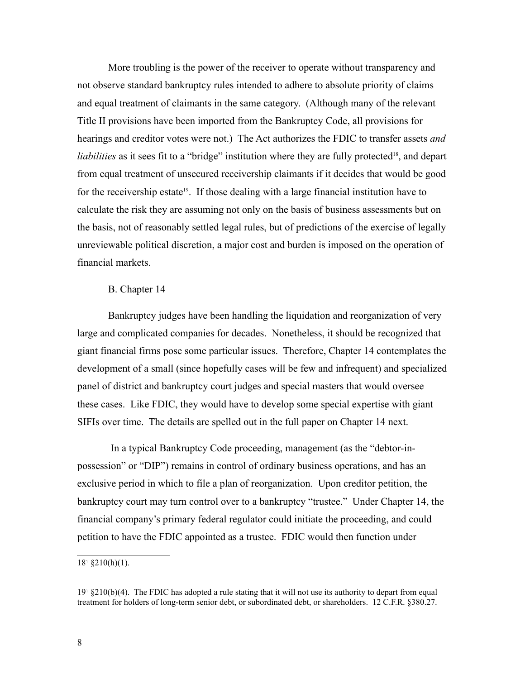More troubling is the power of the receiver to operate without transparency and not observe standard bankruptcy rules intended to adhere to absolute priority of claims and equal treatment of claimants in the same category. (Although many of the relevant Title II provisions have been imported from the Bankruptcy Code, all provisions for hearings and creditor votes were not.) The Act authorizes the FDIC to transfer assets *and liabilities* as it sees fit to a "bridge" institution where they are fully protected<sup>18</sup>, and depart from equal treatment of unsecured receivership claimants if it decides that would be good for the receivership estate<sup>19</sup>. If those dealing with a large financial institution have to calculate the risk they are assuming not only on the basis of business assessments but on the basis, not of reasonably settled legal rules, but of predictions of the exercise of legally unreviewable political discretion, a major cost and burden is imposed on the operation of financial markets.

#### B. Chapter 14

Bankruptcy judges have been handling the liquidation and reorganization of very large and complicated companies for decades. Nonetheless, it should be recognized that giant financial firms pose some particular issues. Therefore, Chapter 14 contemplates the development of a small (since hopefully cases will be few and infrequent) and specialized panel of district and bankruptcy court judges and special masters that would oversee these cases. Like FDIC, they would have to develop some special expertise with giant SIFIs over time. The details are spelled out in the full paper on Chapter 14 next.

 In a typical Bankruptcy Code proceeding, management (as the "debtor-inpossession" or "DIP") remains in control of ordinary business operations, and has an exclusive period in which to file a plan of reorganization. Upon creditor petition, the bankruptcy court may turn control over to a bankruptcy "trustee." Under Chapter 14, the financial company's primary federal regulator could initiate the proceeding, and could petition to have the FDIC appointed as a trustee. FDIC would then function under

 $18^{\text{T}}$  §210(h)(1).

<sup>19&</sup>lt;sup>1</sup> §210(b)(4). The FDIC has adopted a rule stating that it will not use its authority to depart from equal treatment for holders of long-term senior debt, or subordinated debt, or shareholders. 12 C.F.R. §380.27.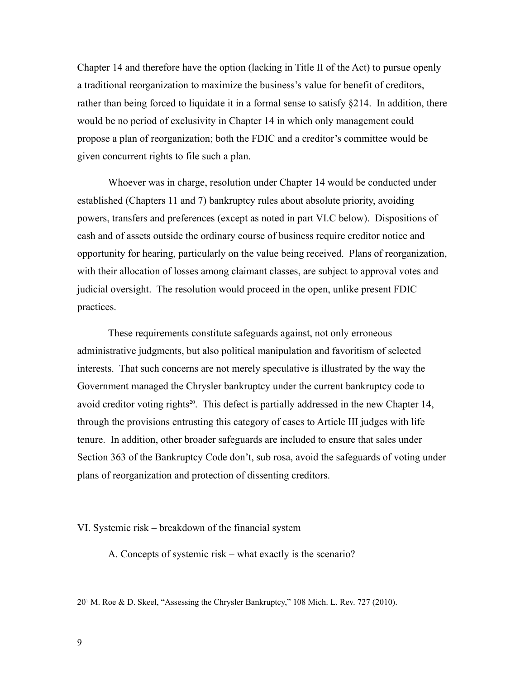Chapter 14 and therefore have the option (lacking in Title II of the Act) to pursue openly a traditional reorganization to maximize the business's value for benefit of creditors, rather than being forced to liquidate it in a formal sense to satisfy §214. In addition, there would be no period of exclusivity in Chapter 14 in which only management could propose a plan of reorganization; both the FDIC and a creditor's committee would be given concurrent rights to file such a plan.

Whoever was in charge, resolution under Chapter 14 would be conducted under established (Chapters 11 and 7) bankruptcy rules about absolute priority, avoiding powers, transfers and preferences (except as noted in part VI.C below). Dispositions of cash and of assets outside the ordinary course of business require creditor notice and opportunity for hearing, particularly on the value being received. Plans of reorganization, with their allocation of losses among claimant classes, are subject to approval votes and judicial oversight. The resolution would proceed in the open, unlike present FDIC practices.

These requirements constitute safeguards against, not only erroneous administrative judgments, but also political manipulation and favoritism of selected interests. That such concerns are not merely speculative is illustrated by the way the Government managed the Chrysler bankruptcy under the current bankruptcy code to avoid creditor voting rights<sup>20</sup>. This defect is partially addressed in the new Chapter 14, through the provisions entrusting this category of cases to Article III judges with life tenure. In addition, other broader safeguards are included to ensure that sales under Section 363 of the Bankruptcy Code don't, sub rosa, avoid the safeguards of voting under plans of reorganization and protection of dissenting creditors.

VI. Systemic risk – breakdown of the financial system

A. Concepts of systemic risk – what exactly is the scenario?

<sup>20</sup>- M. Roe & D. Skeel, "Assessing the Chrysler Bankruptcy," 108 Mich. L. Rev. 727 (2010).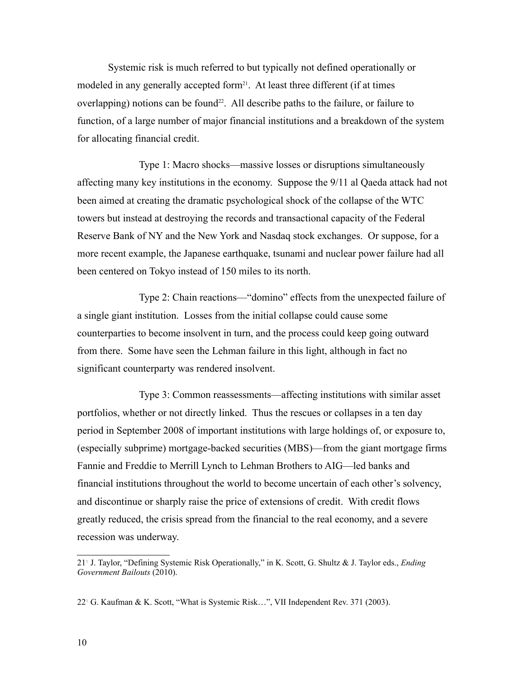Systemic risk is much referred to but typically not defined operationally or modeled in any generally accepted form<sup>21</sup>. At least three different (if at times overlapping) notions can be found<sup>22</sup>. All describe paths to the failure, or failure to function, of a large number of major financial institutions and a breakdown of the system for allocating financial credit.

Type 1: Macro shocks—massive losses or disruptions simultaneously affecting many key institutions in the economy. Suppose the 9/11 al Qaeda attack had not been aimed at creating the dramatic psychological shock of the collapse of the WTC towers but instead at destroying the records and transactional capacity of the Federal Reserve Bank of NY and the New York and Nasdaq stock exchanges. Or suppose, for a more recent example, the Japanese earthquake, tsunami and nuclear power failure had all been centered on Tokyo instead of 150 miles to its north.

 Type 2: Chain reactions—"domino" effects from the unexpected failure of a single giant institution. Losses from the initial collapse could cause some counterparties to become insolvent in turn, and the process could keep going outward from there. Some have seen the Lehman failure in this light, although in fact no significant counterparty was rendered insolvent.

Type 3: Common reassessments—affecting institutions with similar asset portfolios, whether or not directly linked. Thus the rescues or collapses in a ten day period in September 2008 of important institutions with large holdings of, or exposure to, (especially subprime) mortgage-backed securities (MBS)—from the giant mortgage firms Fannie and Freddie to Merrill Lynch to Lehman Brothers to AIG—led banks and financial institutions throughout the world to become uncertain of each other's solvency, and discontinue or sharply raise the price of extensions of credit. With credit flows greatly reduced, the crisis spread from the financial to the real economy, and a severe recession was underway.

<sup>21</sup>- J. Taylor, "Defining Systemic Risk Operationally," in K. Scott, G. Shultz & J. Taylor eds., *Ending Government Bailouts* (2010).

<sup>22</sup>- G. Kaufman & K. Scott, "What is Systemic Risk…", VII Independent Rev. 371 (2003).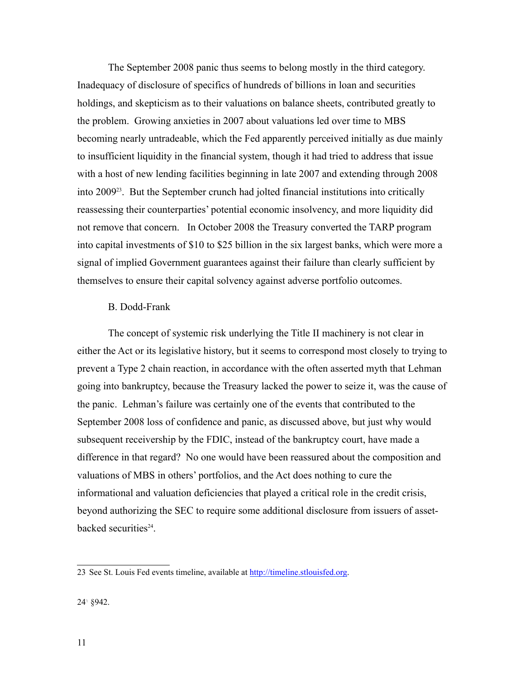The September 2008 panic thus seems to belong mostly in the third category. Inadequacy of disclosure of specifics of hundreds of billions in loan and securities holdings, and skepticism as to their valuations on balance sheets, contributed greatly to the problem. Growing anxieties in 2007 about valuations led over time to MBS becoming nearly untradeable, which the Fed apparently perceived initially as due mainly to insufficient liquidity in the financial system, though it had tried to address that issue with a host of new lending facilities beginning in late 2007 and extending through 2008 into 200923. But the September crunch had jolted financial institutions into critically reassessing their counterparties' potential economic insolvency, and more liquidity did not remove that concern. In October 2008 the Treasury converted the TARP program into capital investments of \$10 to \$25 billion in the six largest banks, which were more a signal of implied Government guarantees against their failure than clearly sufficient by themselves to ensure their capital solvency against adverse portfolio outcomes.

#### B. Dodd-Frank

The concept of systemic risk underlying the Title II machinery is not clear in either the Act or its legislative history, but it seems to correspond most closely to trying to prevent a Type 2 chain reaction, in accordance with the often asserted myth that Lehman going into bankruptcy, because the Treasury lacked the power to seize it, was the cause of the panic. Lehman's failure was certainly one of the events that contributed to the September 2008 loss of confidence and panic, as discussed above, but just why would subsequent receivership by the FDIC, instead of the bankruptcy court, have made a difference in that regard? No one would have been reassured about the composition and valuations of MBS in others' portfolios, and the Act does nothing to cure the informational and valuation deficiencies that played a critical role in the credit crisis, beyond authorizing the SEC to require some additional disclosure from issuers of assetbacked securities<sup>24</sup>.

<sup>23</sup> See St. Louis Fed events timeline, available at http://timeline.stlouisfed.org.

<sup>24&</sup>lt;sup>1</sup> §942.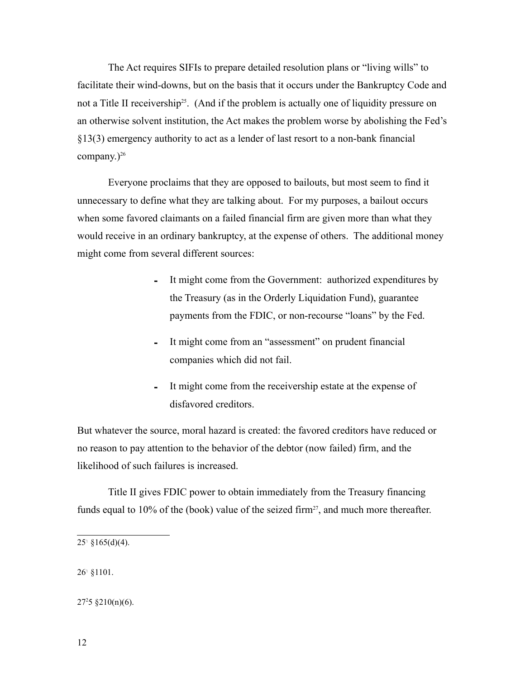The Act requires SIFIs to prepare detailed resolution plans or "living wills" to facilitate their wind-downs, but on the basis that it occurs under the Bankruptcy Code and not a Title II receivership<sup>25</sup>. (And if the problem is actually one of liquidity pressure on an otherwise solvent institution, the Act makes the problem worse by abolishing the Fed's §13(3) emergency authority to act as a lender of last resort to a non-bank financial company.) $^{26}$ 

Everyone proclaims that they are opposed to bailouts, but most seem to find it unnecessary to define what they are talking about. For my purposes, a bailout occurs when some favored claimants on a failed financial firm are given more than what they would receive in an ordinary bankruptcy, at the expense of others. The additional money might come from several different sources:

- It might come from the Government: authorized expenditures by the Treasury (as in the Orderly Liquidation Fund), guarantee payments from the FDIC, or non-recourse "loans" by the Fed.
- It might come from an "assessment" on prudent financial companies which did not fail.
- It might come from the receivership estate at the expense of disfavored creditors.

But whatever the source, moral hazard is created: the favored creditors have reduced or no reason to pay attention to the behavior of the debtor (now failed) firm, and the likelihood of such failures is increased.

Title II gives FDIC power to obtain immediately from the Treasury financing funds equal to 10% of the (book) value of the seized firm<sup>27</sup>, and much more thereafter.

26- §1101.

 $27<sup>2</sup>5$  §210(n)(6).

 $25^{\circ}$  §165(d)(4).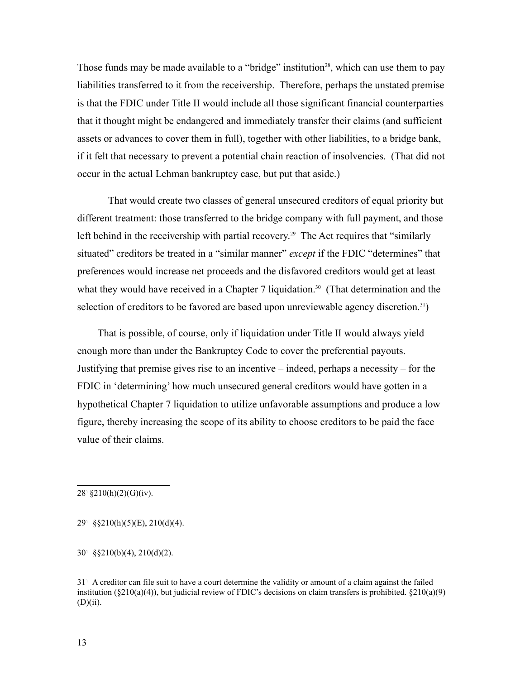Those funds may be made available to a "bridge" institution<sup>28</sup>, which can use them to pay liabilities transferred to it from the receivership. Therefore, perhaps the unstated premise is that the FDIC under Title II would include all those significant financial counterparties that it thought might be endangered and immediately transfer their claims (and sufficient assets or advances to cover them in full), together with other liabilities, to a bridge bank, if it felt that necessary to prevent a potential chain reaction of insolvencies. (That did not occur in the actual Lehman bankruptcy case, but put that aside.)

That would create two classes of general unsecured creditors of equal priority but different treatment: those transferred to the bridge company with full payment, and those left behind in the receivership with partial recovery.<sup>29</sup> The Act requires that "similarly situated" creditors be treated in a "similar manner" *except* if the FDIC "determines" that preferences would increase net proceeds and the disfavored creditors would get at least what they would have received in a Chapter 7 liquidation.<sup>30</sup> (That determination and the selection of creditors to be favored are based upon unreviewable agency discretion.<sup>31</sup>)

 That is possible, of course, only if liquidation under Title II would always yield enough more than under the Bankruptcy Code to cover the preferential payouts. Justifying that premise gives rise to an incentive – indeed, perhaps a necessity – for the FDIC in 'determining' how much unsecured general creditors would have gotten in a hypothetical Chapter 7 liquidation to utilize unfavorable assumptions and produce a low figure, thereby increasing the scope of its ability to choose creditors to be paid the face value of their claims.

 $28^{\circ}$  §210(h)(2)(G)(iv).

29- §§210(h)(5)(E), 210(d)(4).

30- §§210(b)(4), 210(d)(2).

31- A creditor can file suit to have a court determine the validity or amount of a claim against the failed institution ( $\S210(a)(4)$ ), but judicial review of FDIC's decisions on claim transfers is prohibited.  $\S210(a)(9)$  $(D)(ii)$ .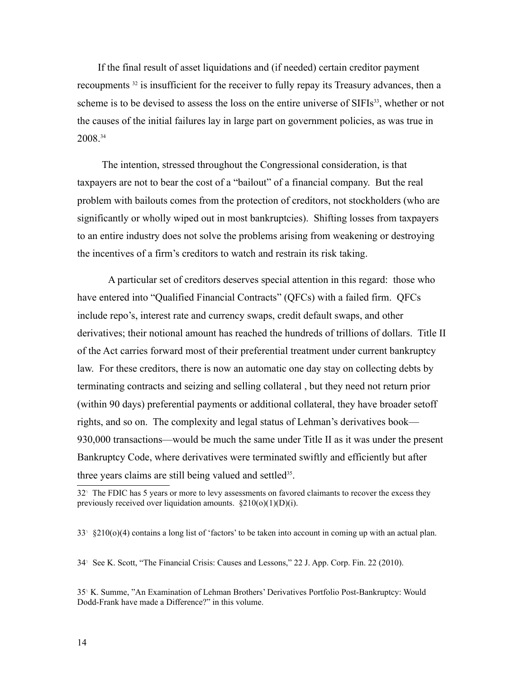If the final result of asset liquidations and (if needed) certain creditor payment recoupments 32 is insufficient for the receiver to fully repay its Treasury advances, then a scheme is to be devised to assess the loss on the entire universe of SIFIs<sup>33</sup>, whether or not the causes of the initial failures lay in large part on government policies, as was true in 2008.34

The intention, stressed throughout the Congressional consideration, is that taxpayers are not to bear the cost of a "bailout" of a financial company. But the real problem with bailouts comes from the protection of creditors, not stockholders (who are significantly or wholly wiped out in most bankruptcies). Shifting losses from taxpayers to an entire industry does not solve the problems arising from weakening or destroying the incentives of a firm's creditors to watch and restrain its risk taking.

A particular set of creditors deserves special attention in this regard: those who have entered into "Qualified Financial Contracts" (QFCs) with a failed firm. QFCs include repo's, interest rate and currency swaps, credit default swaps, and other derivatives; their notional amount has reached the hundreds of trillions of dollars. Title II of the Act carries forward most of their preferential treatment under current bankruptcy law. For these creditors, there is now an automatic one day stay on collecting debts by terminating contracts and seizing and selling collateral , but they need not return prior (within 90 days) preferential payments or additional collateral, they have broader setoff rights, and so on. The complexity and legal status of Lehman's derivatives book— 930,000 transactions—would be much the same under Title II as it was under the present Bankruptcy Code, where derivatives were terminated swiftly and efficiently but after three years claims are still being valued and settled<sup>35</sup>.

<sup>32&</sup>lt;sup>1</sup> The FDIC has 5 years or more to levy assessments on favored claimants to recover the excess they previously received over liquidation amounts.  $\S210(0)(1)(D)(i)$ .

<sup>33</sup>- §210(o)(4) contains a long list of 'factors' to be taken into account in coming up with an actual plan.

<sup>34</sup>- See K. Scott, "The Financial Crisis: Causes and Lessons," 22 J. App. Corp. Fin. 22 (2010).

<sup>35</sup>- K. Summe, "An Examination of Lehman Brothers' Derivatives Portfolio Post-Bankruptcy: Would Dodd-Frank have made a Difference?" in this volume.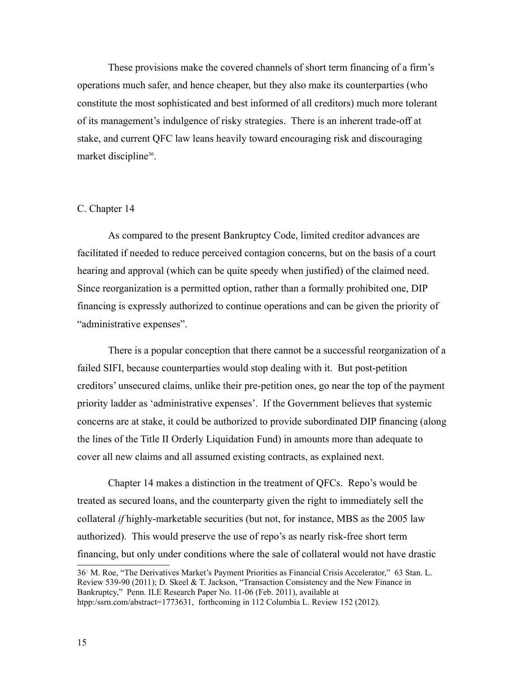These provisions make the covered channels of short term financing of a firm's operations much safer, and hence cheaper, but they also make its counterparties (who constitute the most sophisticated and best informed of all creditors) much more tolerant of its management's indulgence of risky strategies. There is an inherent trade-off at stake, and current QFC law leans heavily toward encouraging risk and discouraging market discipline<sup>36</sup>.

#### C. Chapter 14

As compared to the present Bankruptcy Code, limited creditor advances are facilitated if needed to reduce perceived contagion concerns, but on the basis of a court hearing and approval (which can be quite speedy when justified) of the claimed need. Since reorganization is a permitted option, rather than a formally prohibited one, DIP financing is expressly authorized to continue operations and can be given the priority of "administrative expenses".

There is a popular conception that there cannot be a successful reorganization of a failed SIFI, because counterparties would stop dealing with it. But post-petition creditors' unsecured claims, unlike their pre-petition ones, go near the top of the payment priority ladder as 'administrative expenses'. If the Government believes that systemic concerns are at stake, it could be authorized to provide subordinated DIP financing (along the lines of the Title II Orderly Liquidation Fund) in amounts more than adequate to cover all new claims and all assumed existing contracts, as explained next.

Chapter 14 makes a distinction in the treatment of QFCs. Repo's would be treated as secured loans, and the counterparty given the right to immediately sell the collateral *if* highly-marketable securities (but not, for instance, MBS as the 2005 law authorized). This would preserve the use of repo's as nearly risk-free short term financing, but only under conditions where the sale of collateral would not have drastic

<sup>36</sup>- M. Roe, "The Derivatives Market's Payment Priorities as Financial Crisis Accelerator," 63 Stan. L. Review 539-90 (2011); D. Skeel & T. Jackson, "Transaction Consistency and the New Finance in Bankruptcy," Penn. ILE Research Paper No. 11-06 (Feb. 2011), available at htpp:/ssrn.com/abstract=1773631, forthcoming in 112 Columbia L. Review 152 (2012).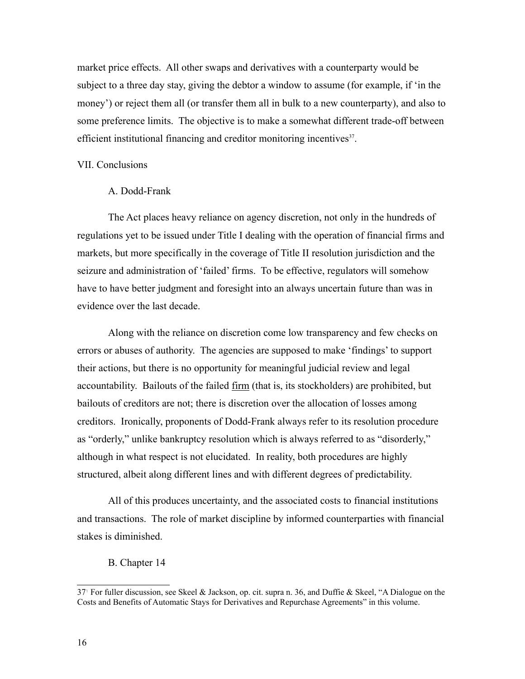market price effects. All other swaps and derivatives with a counterparty would be subject to a three day stay, giving the debtor a window to assume (for example, if 'in the money') or reject them all (or transfer them all in bulk to a new counterparty), and also to some preference limits. The objective is to make a somewhat different trade-off between efficient institutional financing and creditor monitoring incentives<sup>37</sup>.

#### VII. Conclusions

## A. Dodd-Frank

The Act places heavy reliance on agency discretion, not only in the hundreds of regulations yet to be issued under Title I dealing with the operation of financial firms and markets, but more specifically in the coverage of Title II resolution jurisdiction and the seizure and administration of 'failed' firms. To be effective, regulators will somehow have to have better judgment and foresight into an always uncertain future than was in evidence over the last decade.

Along with the reliance on discretion come low transparency and few checks on errors or abuses of authority. The agencies are supposed to make 'findings' to support their actions, but there is no opportunity for meaningful judicial review and legal accountability. Bailouts of the failed firm (that is, its stockholders) are prohibited, but bailouts of creditors are not; there is discretion over the allocation of losses among creditors. Ironically, proponents of Dodd-Frank always refer to its resolution procedure as "orderly," unlike bankruptcy resolution which is always referred to as "disorderly," although in what respect is not elucidated. In reality, both procedures are highly structured, albeit along different lines and with different degrees of predictability.

All of this produces uncertainty, and the associated costs to financial institutions and transactions. The role of market discipline by informed counterparties with financial stakes is diminished.

# B. Chapter 14

<sup>37</sup>- For fuller discussion, see Skeel & Jackson, op. cit. supra n. 36, and Duffie & Skeel, "A Dialogue on the Costs and Benefits of Automatic Stays for Derivatives and Repurchase Agreements" in this volume.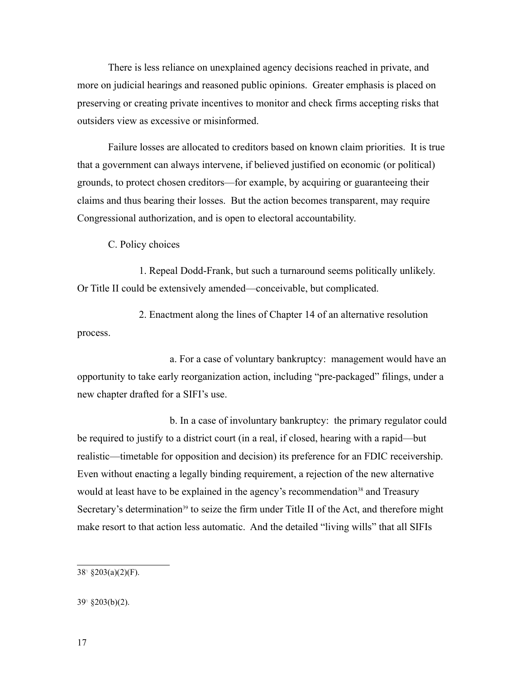There is less reliance on unexplained agency decisions reached in private, and more on judicial hearings and reasoned public opinions. Greater emphasis is placed on preserving or creating private incentives to monitor and check firms accepting risks that outsiders view as excessive or misinformed.

Failure losses are allocated to creditors based on known claim priorities. It is true that a government can always intervene, if believed justified on economic (or political) grounds, to protect chosen creditors—for example, by acquiring or guaranteeing their claims and thus bearing their losses. But the action becomes transparent, may require Congressional authorization, and is open to electoral accountability.

C. Policy choices

1. Repeal Dodd-Frank, but such a turnaround seems politically unlikely. Or Title II could be extensively amended—conceivable, but complicated.

2. Enactment along the lines of Chapter 14 of an alternative resolution process.

a. For a case of voluntary bankruptcy: management would have an opportunity to take early reorganization action, including "pre-packaged" filings, under a new chapter drafted for a SIFI's use.

b. In a case of involuntary bankruptcy: the primary regulator could be required to justify to a district court (in a real, if closed, hearing with a rapid—but realistic—timetable for opposition and decision) its preference for an FDIC receivership. Even without enacting a legally binding requirement, a rejection of the new alternative would at least have to be explained in the agency's recommendation<sup>38</sup> and Treasury Secretary's determination<sup>39</sup> to seize the firm under Title II of the Act, and therefore might make resort to that action less automatic. And the detailed "living wills" that all SIFIs

 $38^{\circ}$  §203(a)(2)(F).

<sup>39</sup>- §203(b)(2).